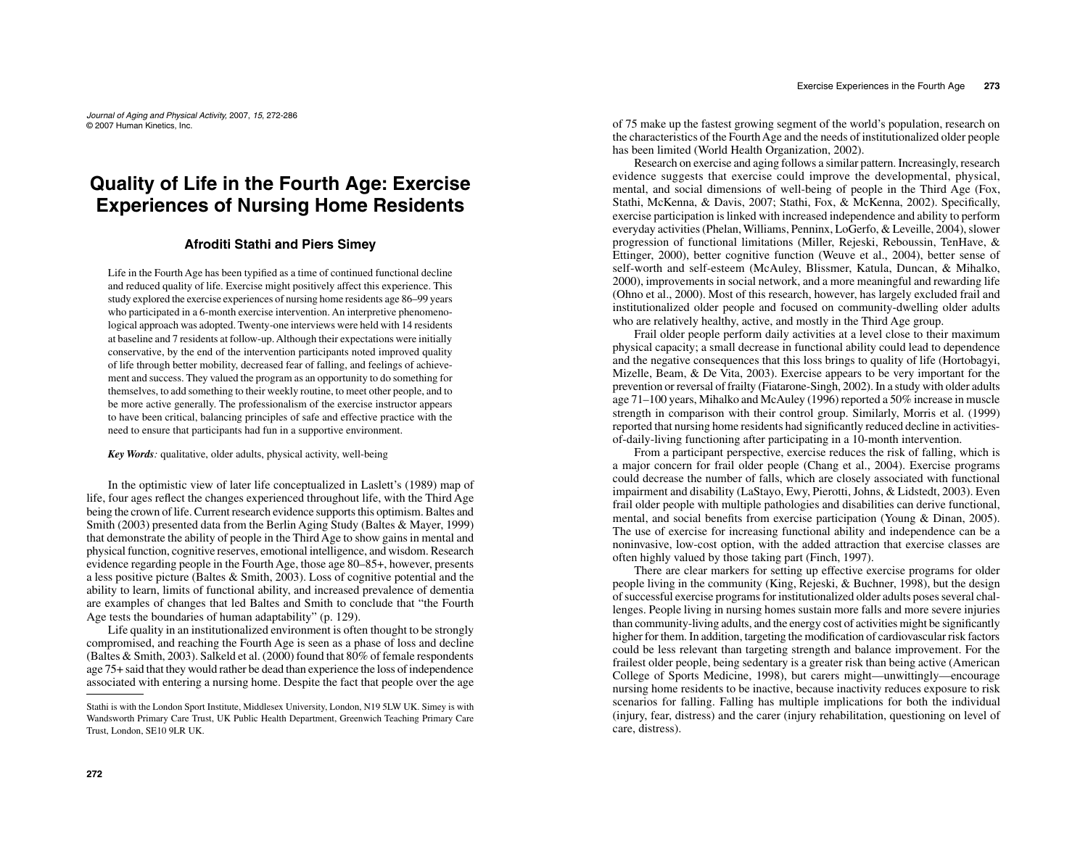Journal of Aging and Physical Activity, 2007, 15, 272-286© 2007 Human Kinetics, Inc.

# **Quality of Life in the Fourth Age: Exercise Experiences of Nursing Home Residents**

## **Afroditi Stathi and Piers Simey**

Life in the Fourth Age has been typified as a time of continued functional decline and reduced quality of life. Exercise might positively affect this experience. This study explored the exercise experiences of nursing home residents age 86–99 years who participated in a 6-month exercise intervention. An interpretive phenomenological approach was adopted. Twenty-one interviews were held with 14 residents at baseline and 7 residents at follow-up. Although their expectations were initially conservative, by the end of the intervention participants noted improved quality of life through better mobility, decreased fear of falling, and feelings of achievement and success. They valued the program as an opportunity to do something for themselves, to add something to their weekly routine, to meet other people, and to be more active generally. The professionalism of the exercise instructor appears to have been critical, balancing principles of safe and effective practice with the need to ensure that participants had fun in a supportive environment.

*Key Words:* qualitative, older adults, physical activity, well-being

In the optimistic view of later life conceptualized in Laslett's (1989) map of life, four ages reflect the changes experienced throughout life, with the Third Age being the crown of life. Current research evidence supports this optimism. Baltes and Smith (2003) presented data from the Berlin Aging Study (Baltes & Mayer, 1999) that demonstrate the ability of people in the Third Age to show gains in mental and physical function, cognitive reserves, emotional intelligence, and wisdom. Research evidence regarding people in the Fourth Age, those age 80–85+, however, presents a less positive picture (Baltes & Smith, 2003). Loss of cognitive potential and the ability to learn, limits of functional ability, and increased prevalence of dementia are examples of changes that led Baltes and Smith to conclude that "the Fourth Age tests the boundaries of human adaptability" (p. 129).

 Life quality in an institutionalized environment is often thought to be strongly compromised, and reaching the Fourth Age is seen as a phase of loss and decline (Baltes & Smith, 2003). Salkeld et al. (2000) found that 80% of female respondents age 75+ said that they would rather be dead than experience the loss of independence associated with entering a nursing home. Despite the fact that people over the age of 75 make up the fastest growing segment of the world's population, research on the characteristics of the Fourth Age and the needs of institutionalized older people has been limited (World Health Organization, 2002).

 Research on exercise and aging follows a similar pattern. Increasingly, research evidence suggests that exercise could improve the developmental, physical, mental, and social dimensions of well-being of people in the Third Age (Fox, Stathi, McKenna, & Davis, 2007; Stathi, Fox, & McKenna, 2002). Specifically, exercise participation is linked with increased independence and ability to perform everyday activities (Phelan, Williams, Penninx, LoGerfo, & Leveille, 2004), slower progression of functional limitations (Miller, Rejeski, Reboussin, TenHave, & Ettinger, 2000), better cognitive function (Weuve et al., 2004), better sense of self-worth and self-esteem (McAuley, Blissmer, Katula, Duncan, & Mihalko, 2000), improvements in social network, and a more meaningful and rewarding life (Ohno et al., 2000). Most of this research, however, has largely excluded frail and institutionalized older people and focused on community-dwelling older adults who are relatively healthy, active, and mostly in the Third Age group.

 Frail older people perform daily activities at a level close to their maximum physical capacity; a small decrease in functional ability could lead to dependence and the negative consequences that this loss brings to quality of life (Hortobagyi, Mizelle, Beam, & De Vita, 2003). Exercise appears to be very important for the prevention or reversal of frailty (Fiatarone-Singh, 2002). In a study with older adults age 71–100 years, Mihalko and McAuley (1996) reported a 50% increase in muscle strength in comparison with their control group. Similarly, Morris et al. (1999) reported that nursing home residents had significantly reduced decline in activitiesof-daily-living functioning after participating in a 10-month intervention.

 From a participant perspective, exercise reduces the risk of falling, which is a major concern for frail older people (Chang et al., 2004). Exercise programs could decrease the number of falls, which are closely associated with functional impairment and disability (LaStayo, Ewy, Pierotti, Johns, & Lidstedt, 2003). Even frail older people with multiple pathologies and disabilities can derive functional, mental, and social benefits from exercise participation (Young & Dinan, 2005). The use of exercise for increasing functional ability and independence can be a noninvasive, low-cost option, with the added attraction that exercise classes are often highly valued by those taking part (Finch, 1997).

 There are clear markers for setting up effective exercise programs for older people living in the community (King, Rejeski, & Buchner, 1998), but the design of successful exercise programs for institutionalized older adults poses several challenges. People living in nursing homes sustain more falls and more severe injuries than community-living adults, and the energy cost of activities might be significantly higher for them. In addition, targeting the modification of cardiovascular risk factors could be less relevant than targeting strength and balance improvement. For the frailest older people, being sedentary is a greater risk than being active (American College of Sports Medicine, 1998), but carers might—unwittingly—encourage nursing home residents to be inactive, because inactivity reduces exposure to risk scenarios for falling. Falling has multiple implications for both the individual (injury, fear, distress) and the carer (injury rehabilitation, questioning on level of care, distress).

Stathi is with the London Sport Institute, Middlesex University, London, N19 5LW UK. Simey is with Wandsworth Primary Care Trust, UK Public Health Department, Greenwich Teaching Primary Care Trust, London, SE10 9LR UK.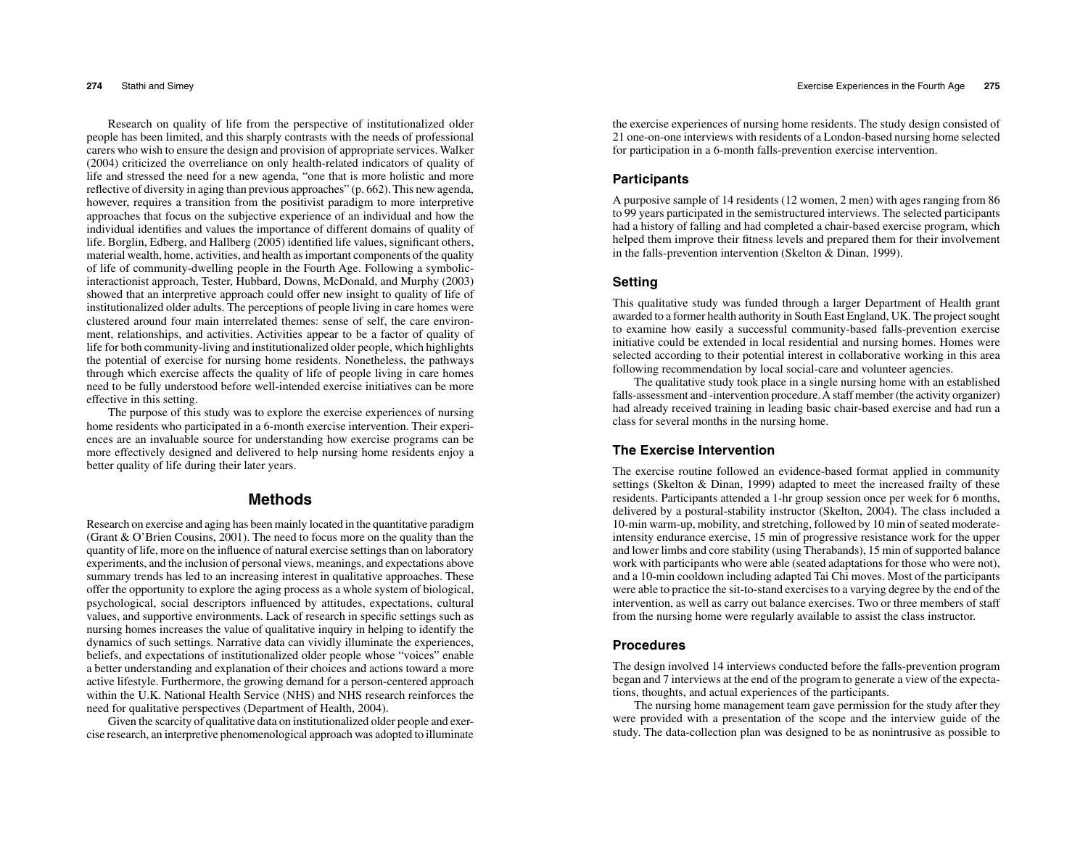Research on quality of life from the perspective of institutionalized older people has been limited, and this sharply contrasts with the needs of professional carers who wish to ensure the design and provision of appropriate services. Walker (2004) criticized the overreliance on only health-related indicators of quality of life and stressed the need for a new agenda, "one that is more holistic and more reflective of diversity in aging than previous approaches" (p. 662). This new agenda, however, requires a transition from the positivist paradigm to more interpretive approaches that focus on the subjective experience of an individual and how the individual identifies and values the importance of different domains of quality of life. Borglin, Edberg, and Hallberg (2005) identified life values, significant others, material wealth, home, activities, and health as important components of the quality of life of community-dwelling people in the Fourth Age. Following a symbolicinteractionist approach, Tester, Hubbard, Downs, McDonald, and Murphy (2003) showed that an interpretive approach could offer new insight to quality of life of institutionalized older adults. The perceptions of people living in care homes were clustered around four main interrelated themes: sense of self, the care environment, relationships, and activities. Activities appear to be a factor of quality of life for both community-living and institutionalized older people, which highlights the potential of exercise for nursing home residents. Nonetheless, the pathways through which exercise affects the quality of life of people living in care homes need to be fully understood before well-intended exercise initiatives can be more effective in this setting.

 The purpose of this study was to explore the exercise experiences of nursing home residents who participated in a 6-month exercise intervention. Their experiences are an invaluable source for understanding how exercise programs can be more effectively designed and delivered to help nursing home residents enjoy a better quality of life during their later years.

## **Methods**

Research on exercise and aging has been mainly located in the quantitative paradigm (Grant & O'Brien Cousins, 2001). The need to focus more on the quality than the quantity of life, more on the influence of natural exercise settings than on laboratory experiments, and the inclusion of personal views, meanings, and expectations above summary trends has led to an increasing interest in qualitative approaches. These offer the opportunity to explore the aging process as a whole system of biological, psychological, social descriptors influenced by attitudes, expectations, cultural values, and supportive environments. Lack of research in specific settings such as nursing homes increases the value of qualitative inquiry in helping to identify the dynamics of such settings. Narrative data can vividly illuminate the experiences, beliefs, and expectations of institutionalized older people whose "voices" enable a better understanding and explanation of their choices and actions toward a more active lifestyle. Furthermore, the growing demand for a person-centered approach within the U.K. National Health Service (NHS) and NHS research reinforces the need for qualitative perspectives (Department of Health, 2004).

 Given the scarcity of qualitative data on institutionalized older people and exercise research, an interpretive phenomenological approach was adopted to illuminate the exercise experiences of nursing home residents. The study design consisted of 21 one-on-one interviews with residents of a London-based nursing home selected for participation in a 6-month falls-prevention exercise intervention.

### **Participants**

A purposive sample of 14 residents (12 women, 2 men) with ages ranging from 86 to 99 years participated in the semistructured interviews. The selected participants had a history of falling and had completed a chair-based exercise program, which helped them improve their fitness levels and prepared them for their involvement in the falls-prevention intervention (Skelton & Dinan, 1999).

## **Setting**

This qualitative study was funded through a larger Department of Health grant awarded to a former health authority in South East England, UK. The project sought to examine how easily a successful community-based falls-prevention exercise initiative could be extended in local residential and nursing homes. Homes were selected according to their potential interest in collaborative working in this area following recommendation by local social-care and volunteer agencies.

 The qualitative study took place in a single nursing home with an established falls-assessment and -intervention procedure. A staff member (the activity organizer) had already received training in leading basic chair-based exercise and had run a class for several months in the nursing home.

## **The Exercise Intervention**

The exercise routine followed an evidence-based format applied in community settings (Skelton & Dinan, 1999) adapted to meet the increased frailty of these residents. Participants attended a 1-hr group session once per week for 6 months, delivered by a postural-stability instructor (Skelton, 2004). The class included a 10-min warm-up, mobility, and stretching, followed by 10 min of seated moderateintensity endurance exercise, 15 min of progressive resistance work for the upper and lower limbs and core stability (using Therabands), 15 min of supported balance work with participants who were able (seated adaptations for those who were not), and a 10-min cooldown including adapted Tai Chi moves. Most of the participants were able to practice the sit-to-stand exercises to a varying degree by the end of the intervention, as well as carry out balance exercises. Two or three members of staff from the nursing home were regularly available to assist the class instructor.

#### **Procedures**

The design involved 14 interviews conducted before the falls-prevention program began and 7 interviews at the end of the program to generate a view of the expectations, thoughts, and actual experiences of the participants.

 The nursing home management team gave permission for the study after they were provided with a presentation of the scope and the interview guide of the study. The data-collection plan was designed to be as nonintrusive as possible to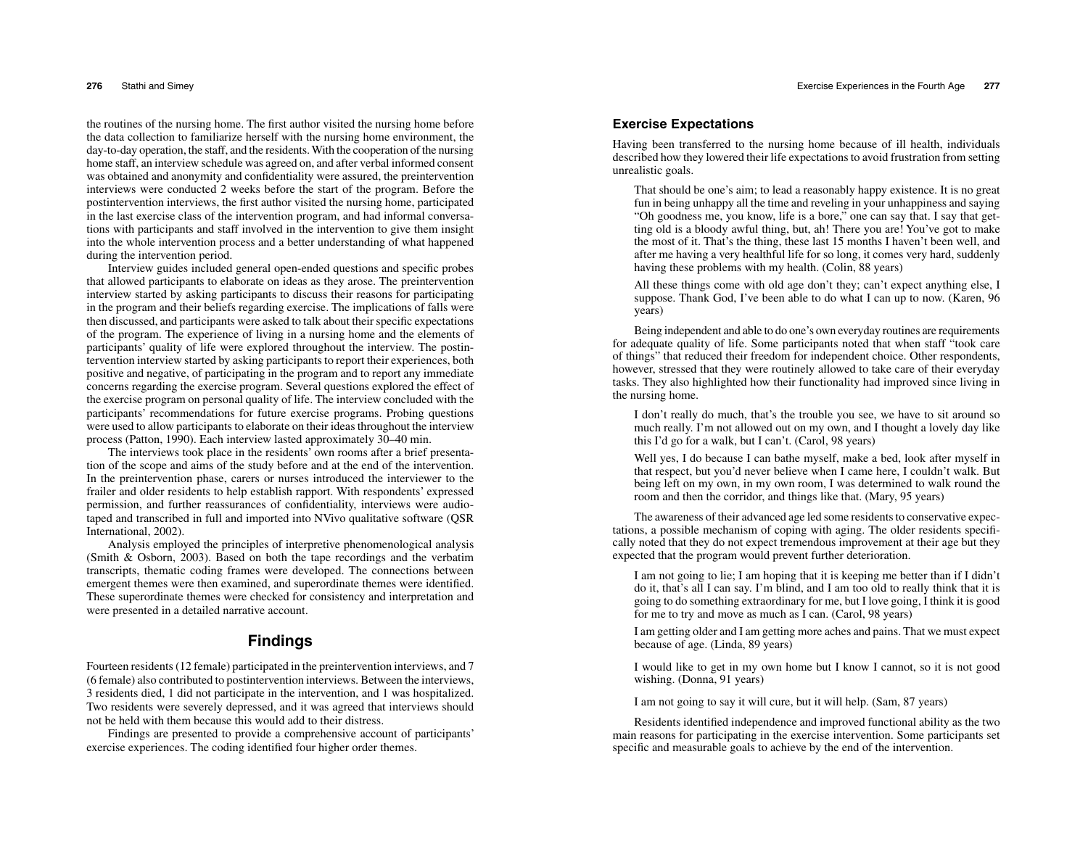the routines of the nursing home. The first author visited the nursing home before the data collection to familiarize herself with the nursing home environment, the day-to-day operation, the staff, and the residents. With the cooperation of the nursing home staff, an interview schedule was agreed on, and after verbal informed consent was obtained and anonymity and confidentiality were assured, the preintervention interviews were conducted 2 weeks before the start of the program. Before the postintervention interviews, the first author visited the nursing home, participated in the last exercise class of the intervention program, and had informal conversations with participants and staff involved in the intervention to give them insight into the whole intervention process and a better understanding of what happened during the intervention period.

 Interview guides included general open-ended questions and specific probes that allowed participants to elaborate on ideas as they arose. The preintervention interview started by asking participants to discuss their reasons for participating in the program and their beliefs regarding exercise. The implications of falls were then discussed, and participants were asked to talk about their specific expectations of the program. The experience of living in a nursing home and the elements of participants' quality of life were explored throughout the interview. The postintervention interview started by asking participants to report their experiences, both positive and negative, of participating in the program and to report any immediate concerns regarding the exercise program. Several questions explored the effect of the exercise program on personal quality of life. The interview concluded with the participants' recommendations for future exercise programs. Probing questions were used to allow participants to elaborate on their ideas throughout the interview process (Patton, 1990). Each interview lasted approximately 30–40 min.

 The interviews took place in the residents' own rooms after a brief presentation of the scope and aims of the study before and at the end of the intervention. In the preintervention phase, carers or nurses introduced the interviewer to the frailer and older residents to help establish rapport. With respondents' expressed permission, and further reassurances of confidentiality, interviews were audiotaped and transcribed in full and imported into NVivo qualitative software (QSR International, 2002).

 Analysis employed the principles of interpretive phenomenological analysis (Smith & Osborn, 2003). Based on both the tape recordings and the verbatim transcripts, thematic coding frames were developed. The connections between emergent themes were then examined, and superordinate themes were identified. These superordinate themes were checked for consistency and interpretation and were presented in a detailed narrative account.

# **Findings**

Fourteen residents (12 female) participated in the preintervention interviews, and 7 (6 female) also contributed to postintervention interviews. Between the interviews, 3 residents died, 1 did not participate in the intervention, and 1 was hospitalized. Two residents were severely depressed, and it was agreed that interviews should not be held with them because this would add to their distress.

 Findings are presented to provide a comprehensive account of participants' exercise experiences. The coding identified four higher order themes.

# **Exercise Expectations**

Having been transferred to the nursing home because of ill health, individuals described how they lowered their life expectations to avoid frustration from setting unrealistic goals.

That should be one's aim; to lead a reasonably happy existence. It is no great fun in being unhappy all the time and reveling in your unhappiness and saying "Oh goodness me, you know, life is a bore," one can say that. I say that getting old is a bloody awful thing, but, ah! There you are! You've got to make the most of it. That's the thing, these last 15 months I haven't been well, and after me having a very healthful life for so long, it comes very hard, suddenly having these problems with my health. (Colin, 88 years)

All these things come with old age don't they; can't expect anything else, I suppose. Thank God, I've been able to do what I can up to now. (Karen, 96 years)

Being independent and able to do one's own everyday routines are requirements for adequate quality of life. Some participants noted that when staff "took care of things" that reduced their freedom for independent choice. Other respondents, however, stressed that they were routinely allowed to take care of their everyday tasks. They also highlighted how their functionality had improved since living in the nursing home.

I don't really do much, that's the trouble you see, we have to sit around so much really. I'm not allowed out on my own, and I thought a lovely day like this I'd go for a walk, but I can't. (Carol, 98 years)

Well yes, I do because I can bathe myself, make a bed, look after myself in that respect, but you'd never believe when I came here, I couldn't walk. But being left on my own, in my own room, I was determined to walk round the room and then the corridor, and things like that. (Mary, 95 years)

The awareness of their advanced age led some residents to conservative expectations, a possible mechanism of coping with aging. The older residents specifically noted that they do not expect tremendous improvement at their age but they expected that the program would prevent further deterioration.

I am not going to lie; I am hoping that it is keeping me better than if I didn't do it, that's all I can say. I'm blind, and I am too old to really think that it is going to do something extraordinary for me, but I love going, I think it is good for me to try and move as much as I can. (Carol, 98 years)

I am getting older and I am getting more aches and pains. That we must expect because of age. (Linda, 89 years)

I would like to get in my own home but I know I cannot, so it is not good wishing. (Donna, 91 years)

I am not going to say it will cure, but it will help. (Sam, 87 years)

Residents identified independence and improved functional ability as the two main reasons for participating in the exercise intervention. Some participants set specific and measurable goals to achieve by the end of the intervention.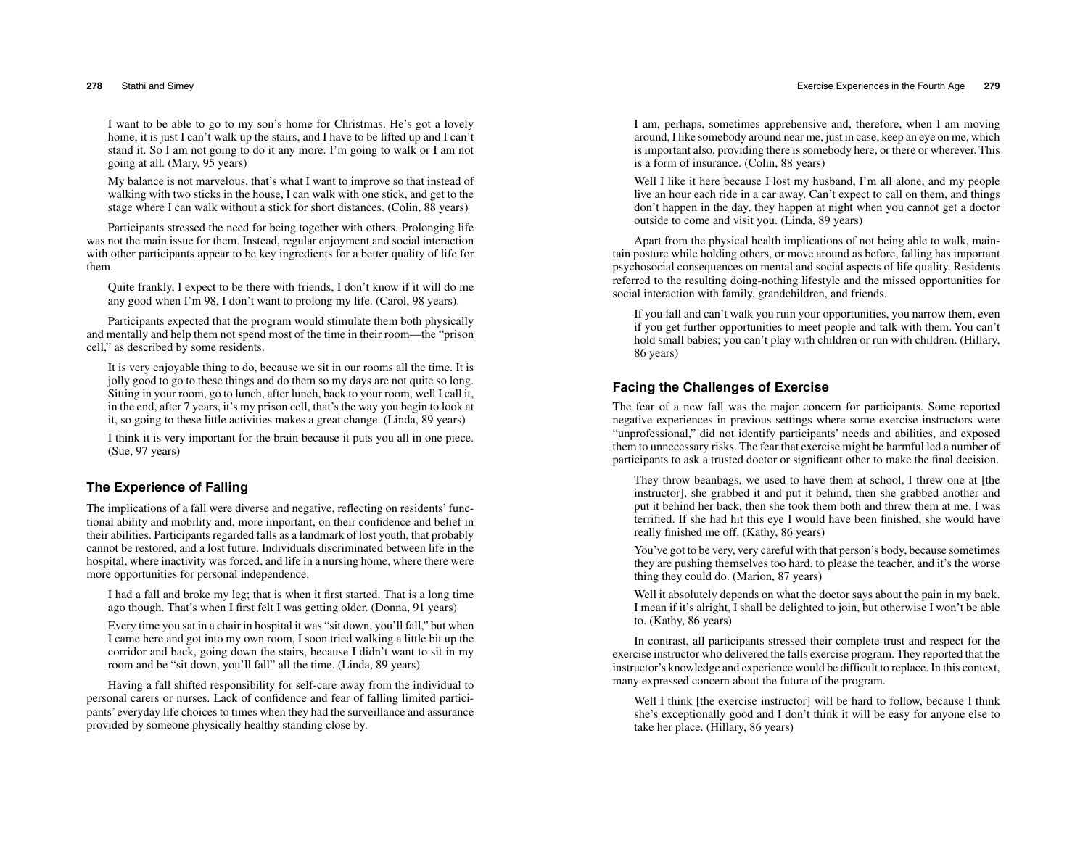I want to be able to go to my son's home for Christmas. He's got a lovely home, it is just I can't walk up the stairs, and I have to be lifted up and I can't stand it. So I am not going to do it any more. I'm going to walk or I am not going at all. (Mary, 95 years)

My balance is not marvelous, that's what I want to improve so that instead of walking with two sticks in the house, I can walk with one stick, and get to the stage where I can walk without a stick for short distances. (Colin, 88 years)

Participants stressed the need for being together with others. Prolonging life was not the main issue for them. Instead, regular enjoyment and social interaction with other participants appear to be key ingredients for a better quality of life for them.

Quite frankly, I expect to be there with friends, I don't know if it will do me any good when I'm 98, I don't want to prolong my life. (Carol, 98 years).

Participants expected that the program would stimulate them both physically and mentally and help them not spend most of the time in their room—the "prison cell," as described by some residents.

It is very enjoyable thing to do, because we sit in our rooms all the time. It is jolly good to go to these things and do them so my days are not quite so long. Sitting in your room, go to lunch, after lunch, back to your room, well I call it, in the end, after 7 years, it's my prison cell, that's the way you begin to look at it, so going to these little activities makes a great change. (Linda, 89 years)

I think it is very important for the brain because it puts you all in one piece. (Sue, 97 years)

## **The Experience of Falling**

The implications of a fall were diverse and negative, reflecting on residents' functional ability and mobility and, more important, on their confidence and belief in their abilities. Participants regarded falls as a landmark of lost youth, that probably cannot be restored, and a lost future. Individuals discriminated between life in the hospital, where inactivity was forced, and life in a nursing home, where there were more opportunities for personal independence.

I had a fall and broke my leg; that is when it first started. That is a long time ago though. That's when I first felt I was getting older. (Donna, 91 years)

Every time you sat in a chair in hospital it was "sit down, you'll fall," but when I came here and got into my own room, I soon tried walking a little bit up the corridor and back, going down the stairs, because I didn't want to sit in my room and be "sit down, you'll fall" all the time. (Linda, 89 years)

Having a fall shifted responsibility for self-care away from the individual to personal carers or nurses. Lack of confidence and fear of falling limited participants' everyday life choices to times when they had the surveillance and assurance provided by someone physically healthy standing close by.

I am, perhaps, sometimes apprehensive and, therefore, when I am moving around, I like somebody around near me, just in case, keep an eye on me, which is important also, providing there is somebody here, or there or wherever. This is a form of insurance. (Colin, 88 years)

Well I like it here because I lost my husband, I'm all alone, and my people live an hour each ride in a car away. Can't expect to call on them, and things don't happen in the day, they happen at night when you cannot get a doctor outside to come and visit you. (Linda, 89 years)

Apart from the physical health implications of not being able to walk, maintain posture while holding others, or move around as before, falling has important psychosocial consequences on mental and social aspects of life quality. Residents referred to the resulting doing-nothing lifestyle and the missed opportunities for social interaction with family, grandchildren, and friends.

If you fall and can't walk you ruin your opportunities, you narrow them, even if you get further opportunities to meet people and talk with them. You can't hold small babies; you can't play with children or run with children. (Hillary, 86 years)

# **Facing the Challenges of Exercise**

The fear of a new fall was the major concern for participants. Some reported negative experiences in previous settings where some exercise instructors were "unprofessional," did not identify participants' needs and abilities, and exposed them to unnecessary risks. The fear that exercise might be harmful led a number of participants to ask a trusted doctor or significant other to make the final decision.

They throw beanbags, we used to have them at school, I threw one at [the instructor], she grabbed it and put it behind, then she grabbed another and put it behind her back, then she took them both and threw them at me. I was terrified. If she had hit this eye I would have been finished, she would have really finished me off. (Kathy, 86 years)

You've got to be very, very careful with that person's body, because sometimes they are pushing themselves too hard, to please the teacher, and it's the worse thing they could do. (Marion, 87 years)

Well it absolutely depends on what the doctor says about the pain in my back. I mean if it's alright, I shall be delighted to join, but otherwise I won't be able to. (Kathy, 86 years)

In contrast, all participants stressed their complete trust and respect for the exercise instructor who delivered the falls exercise program. They reported that the instructor's knowledge and experience would be difficult to replace. In this context, many expressed concern about the future of the program.

Well I think [the exercise instructor] will be hard to follow, because I think she's exceptionally good and I don't think it will be easy for anyone else to take her place. (Hillary, 86 years)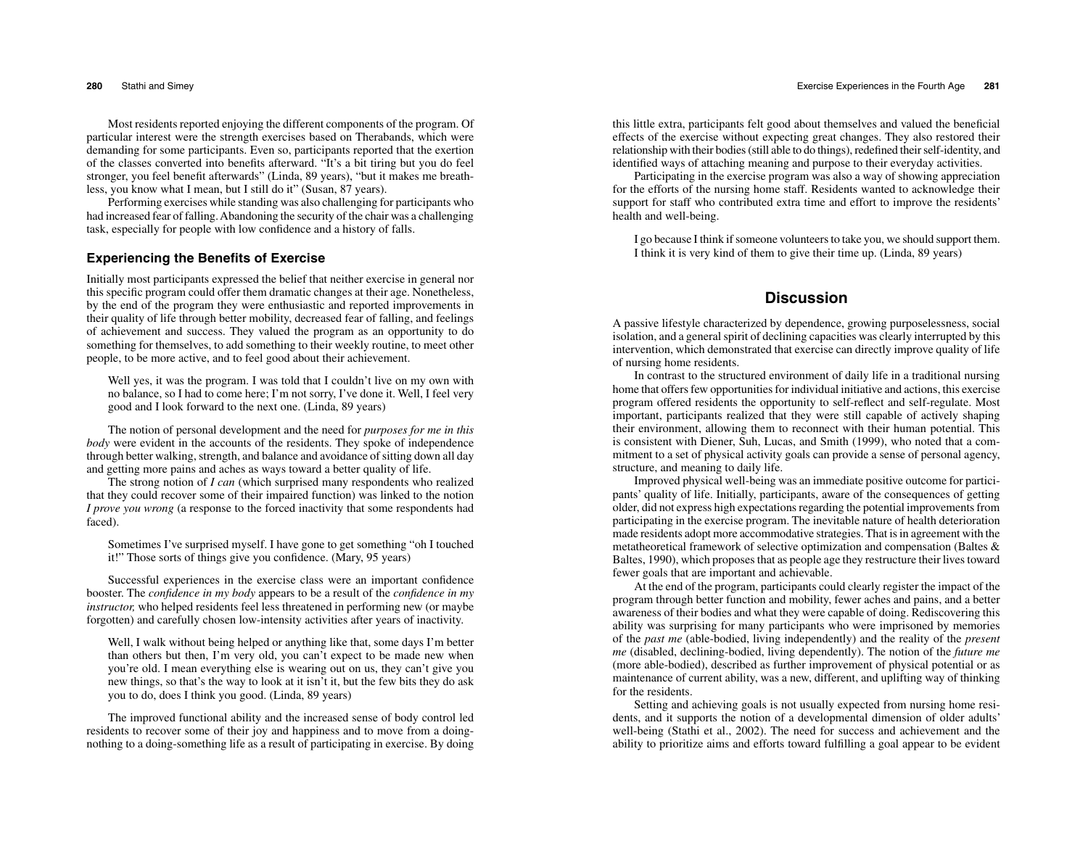Most residents reported enjoying the different components of the program. Of particular interest were the strength exercises based on Therabands, which were demanding for some participants. Even so, participants reported that the exertion of the classes converted into benefits afterward. "It's a bit tiring but you do feel stronger, you feel benefit afterwards" (Linda, 89 years), "but it makes me breathless, you know what I mean, but I still do it" (Susan, 87 years).

 Performing exercises while standing was also challenging for participants who had increased fear of falling. Abandoning the security of the chair was a challenging task, especially for people with low confidence and a history of falls.

## **Experiencing the Benefits of Exercise**

Initially most participants expressed the belief that neither exercise in general nor this specific program could offer them dramatic changes at their age. Nonetheless, by the end of the program they were enthusiastic and reported improvements in their quality of life through better mobility, decreased fear of falling, and feelings of achievement and success. They valued the program as an opportunity to do something for themselves, to add something to their weekly routine, to meet other people, to be more active, and to feel good about their achievement.

Well yes, it was the program. I was told that I couldn't live on my own with no balance, so I had to come here; I'm not sorry, I've done it. Well, I feel very good and I look forward to the next one. (Linda, 89 years)

The notion of personal development and the need for *purposes for me in this body* were evident in the accounts of the residents. They spoke of independence through better walking, strength, and balance and avoidance of sitting down all day and getting more pains and aches as ways toward a better quality of life.

 The strong notion of *I can* (which surprised many respondents who realized that they could recover some of their impaired function) was linked to the notion *I prove you wrong* (a response to the forced inactivity that some respondents had faced).

Sometimes I've surprised myself. I have gone to get something "oh I touched it!" Those sorts of things give you confidence. (Mary, 95 years)

Successful experiences in the exercise class were an important confidence booster. The *confidence in my body* appears to be a result of the *confidence in my instructor,* who helped residents feel less threatened in performing new (or maybe forgotten) and carefully chosen low-intensity activities after years of inactivity.

Well, I walk without being helped or anything like that, some days I'm better than others but then, I'm very old, you can't expect to be made new when you're old. I mean everything else is wearing out on us, they can't give you new things, so that's the way to look at it isn't it, but the few bits they do ask you to do, does I think you good. (Linda, 89 years)

The improved functional ability and the increased sense of body control led residents to recover some of their joy and happiness and to move from a doingnothing to a doing-something life as a result of participating in exercise. By doing this little extra, participants felt good about themselves and valued the beneficial effects of the exercise without expecting great changes. They also restored their relationship with their bodies (still able to do things), redefined their self-identity, and identified ways of attaching meaning and purpose to their everyday activities.

 Participating in the exercise program was also a way of showing appreciation for the efforts of the nursing home staff. Residents wanted to acknowledge their support for staff who contributed extra time and effort to improve the residents' health and well-being.

I go because I think if someone volunteers to take you, we should support them. I think it is very kind of them to give their time up. (Linda, 89 years)

# **Discussion**

A passive lifestyle characterized by dependence, growing purposelessness, social isolation, and a general spirit of declining capacities was clearly interrupted by this intervention, which demonstrated that exercise can directly improve quality of life of nursing home residents.

 In contrast to the structured environment of daily life in a traditional nursing home that offers few opportunities for individual initiative and actions, this exercise program offered residents the opportunity to self-reflect and self-regulate. Most important, participants realized that they were still capable of actively shaping their environment, allowing them to reconnect with their human potential. This is consistent with Diener, Suh, Lucas, and Smith (1999), who noted that a commitment to a set of physical activity goals can provide a sense of personal agency,structure, and meaning to daily life.

 Improved physical well-being was an immediate positive outcome for participants' quality of life. Initially, participants, aware of the consequences of getting older, did not express high expectations regarding the potential improvements from participating in the exercise program. The inevitable nature of health deterioration made residents adopt more accommodative strategies. That is in agreement with the metatheoretical framework of selective optimization and compensation (Baltes & Baltes, 1990), which proposes that as people age they restructure their lives toward fewer goals that are important and achievable.

 At the end of the program, participants could clearly register the impact of the program through better function and mobility, fewer aches and pains, and a better awareness of their bodies and what they were capable of doing. Rediscovering this ability was surprising for many participants who were imprisoned by memories of the *past me* (able-bodied, living independently) and the reality of the *presen<sup>t</sup> me* (disabled, declining-bodied, living dependently). The notion of the *future me* (more able-bodied), described as further improvement of physical potential or as maintenance of current ability, was a new, different, and uplifting way of thinking for the residents.

 Setting and achieving goals is not usually expected from nursing home residents, and it supports the notion of a developmental dimension of older adults' well-being (Stathi et al., 2002). The need for success and achievement and the ability to prioritize aims and efforts toward fulfilling a goal appear to be evident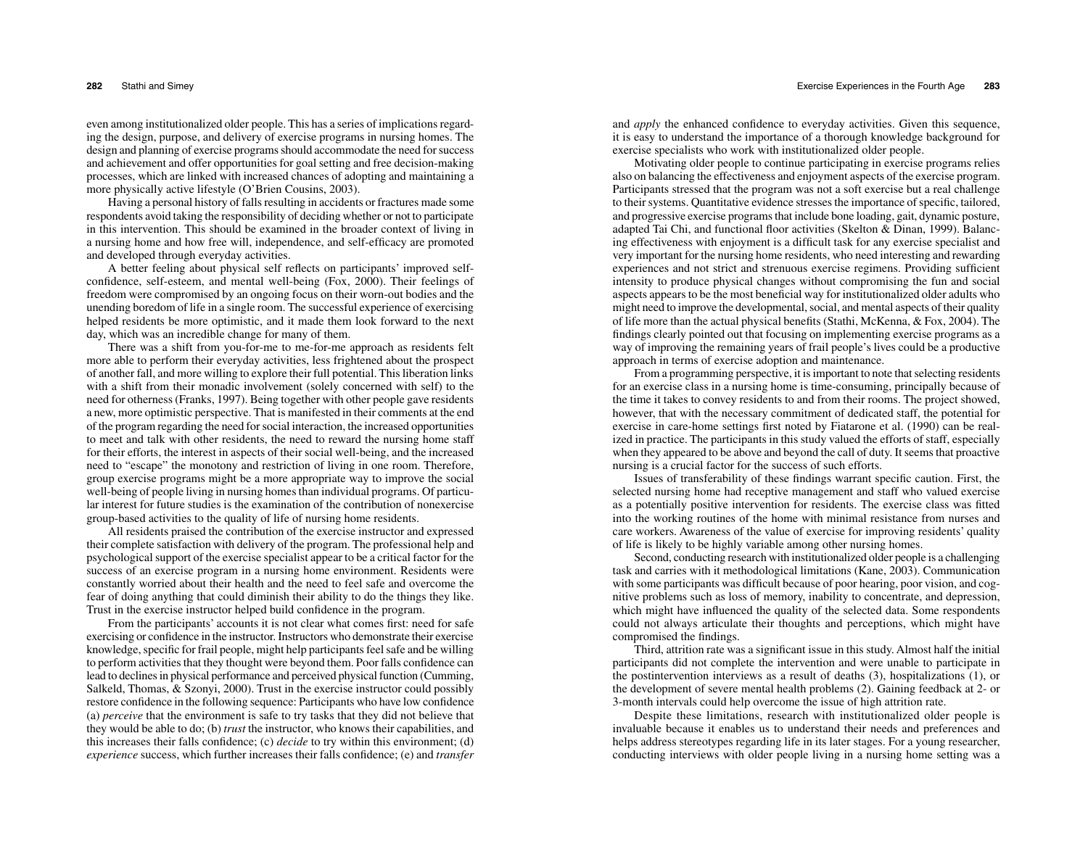even among institutionalized older people. This has a series of implications regarding the design, purpose, and delivery of exercise programs in nursing homes. The design and planning of exercise programs should accommodate the need for success and achievement and offer opportunities for goal setting and free decision-making processes, which are linked with increased chances of adopting and maintaining a more physically active lifestyle (O'Brien Cousins, 2003).

 Having a personal history of falls resulting in accidents or fractures made some respondents avoid taking the responsibility of deciding whether or not to participate in this intervention. This should be examined in the broader context of living in a nursing home and how free will, independence, and self-efficacy are promoted and developed through everyday activities.

 A better feeling about physical self reflects on participants' improved selfconfidence, self-esteem, and mental well-being (Fox, 2000). Their feelings of freedom were compromised by an ongoing focus on their worn-out bodies and the unending boredom of life in a single room. The successful experience of exercising helped residents be more optimistic, and it made them look forward to the next day, which was an incredible change for many of them.

 There was a shift from you-for-me to me-for-me approach as residents felt more able to perform their everyday activities, less frightened about the prospect of another fall, and more willing to explore their full potential. This liberation links with a shift from their monadic involvement (solely concerned with self) to the need for otherness (Franks, 1997). Being together with other people gave residents a new, more optimistic perspective. That is manifested in their comments at the end of the program regarding the need for social interaction, the increased opportunities to meet and talk with other residents, the need to reward the nursing home staff for their efforts, the interest in aspects of their social well-being, and the increased need to "escape" the monotony and restriction of living in one room. Therefore, group exercise programs might be a more appropriate way to improve the social well-being of people living in nursing homes than individual programs. Of particular interest for future studies is the examination of the contribution of nonexercise group-based activities to the quality of life of nursing home residents.

 All residents praised the contribution of the exercise instructor and expressed their complete satisfaction with delivery of the program. The professional help and psychological support of the exercise specialist appear to be a critical factor for the success of an exercise program in a nursing home environment. Residents were constantly worried about their health and the need to feel safe and overcome the fear of doing anything that could diminish their ability to do the things they like. Trust in the exercise instructor helped build confidence in the program.

 From the participants' accounts it is not clear what comes first: need for safe exercising or confidence in the instructor. Instructors who demonstrate their exercise knowledge, specific for frail people, might help participants feel safe and be willing to perform activities that they thought were beyond them. Poor falls confidence can lead to declines in physical performance and perceived physical function (Cumming, Salkeld, Thomas, & Szonyi, 2000). Trust in the exercise instructor could possibly restore confidence in the following sequence: Participants who have low confidence (a) *perceive* that the environment is safe to try tasks that they did not believe that they would be able to do; (b) *trust* the instructor, who knows their capabilities, and this increases their falls confidence; (c) *decide* to try within this environment; (d) *experience* success, which further increases their falls confidence; (e) and *transfer*

and *apply* the enhanced confidence to everyday activities. Given this sequence, it is easy to understand the importance of a thorough knowledge background for exercise specialists who work with institutionalized older people.

 Motivating older people to continue participating in exercise programs relies also on balancing the effectiveness and enjoyment aspects of the exercise program. Participants stressed that the program was not a soft exercise but a real challenge to their systems. Quantitative evidence stresses the importance of specific, tailored, and progressive exercise programs that include bone loading, gait, dynamic posture, adapted Tai Chi, and functional floor activities (Skelton & Dinan, 1999). Balancing effectiveness with enjoyment is a difficult task for any exercise specialist and very important for the nursing home residents, who need interesting and rewarding experiences and not strict and strenuous exercise regimens. Providing sufficient intensity to produce physical changes without compromising the fun and social aspects appears to be the most beneficial way for institutionalized older adults who might need to improve the developmental, social, and mental aspects of their quality of life more than the actual physical benefits (Stathi, McKenna, & Fox, 2004). The findings clearly pointed out that focusing on implementing exercise programs as a way of improving the remaining years of frail people's lives could be a productive approach in terms of exercise adoption and maintenance.

 From a programming perspective, it is important to note that selecting residents for an exercise class in a nursing home is time-consuming, principally because of the time it takes to convey residents to and from their rooms. The project showed, however, that with the necessary commitment of dedicated staff, the potential for exercise in care-home settings first noted by Fiatarone et al. (1990) can be realized in practice. The participants in this study valued the efforts of staff, especially when they appeared to be above and beyond the call of duty. It seems that proactive nursing is a crucial factor for the success of such efforts.

Issues of transferability of these findings warrant specific caution. First, the selected nursing home had receptive management and staff who valued exercise as a potentially positive intervention for residents. The exercise class was fitted into the working routines of the home with minimal resistance from nurses and care workers. Awareness of the value of exercise for improving residents' quality of life is likely to be highly variable among other nursing homes.

 Second, conducting research with institutionalized older people is a challenging task and carries with it methodological limitations (Kane, 2003). Communication with some participants was difficult because of poor hearing, poor vision, and cognitive problems such as loss of memory, inability to concentrate, and depression, which might have influenced the quality of the selected data. Some respondents could not always articulate their thoughts and perceptions, which might have compromised the findings.

 Third, attrition rate was a significant issue in this study. Almost half the initial participants did not complete the intervention and were unable to participate in the postintervention interviews as a result of deaths (3), hospitalizations (1), or the development of severe mental health problems (2). Gaining feedback at 2- or 3-month intervals could help overcome the issue of high attrition rate.

 Despite these limitations, research with institutionalized older people is invaluable because it enables us to understand their needs and preferences and helps address stereotypes regarding life in its later stages. For a young researcher, conducting interviews with older people living in a nursing home setting was a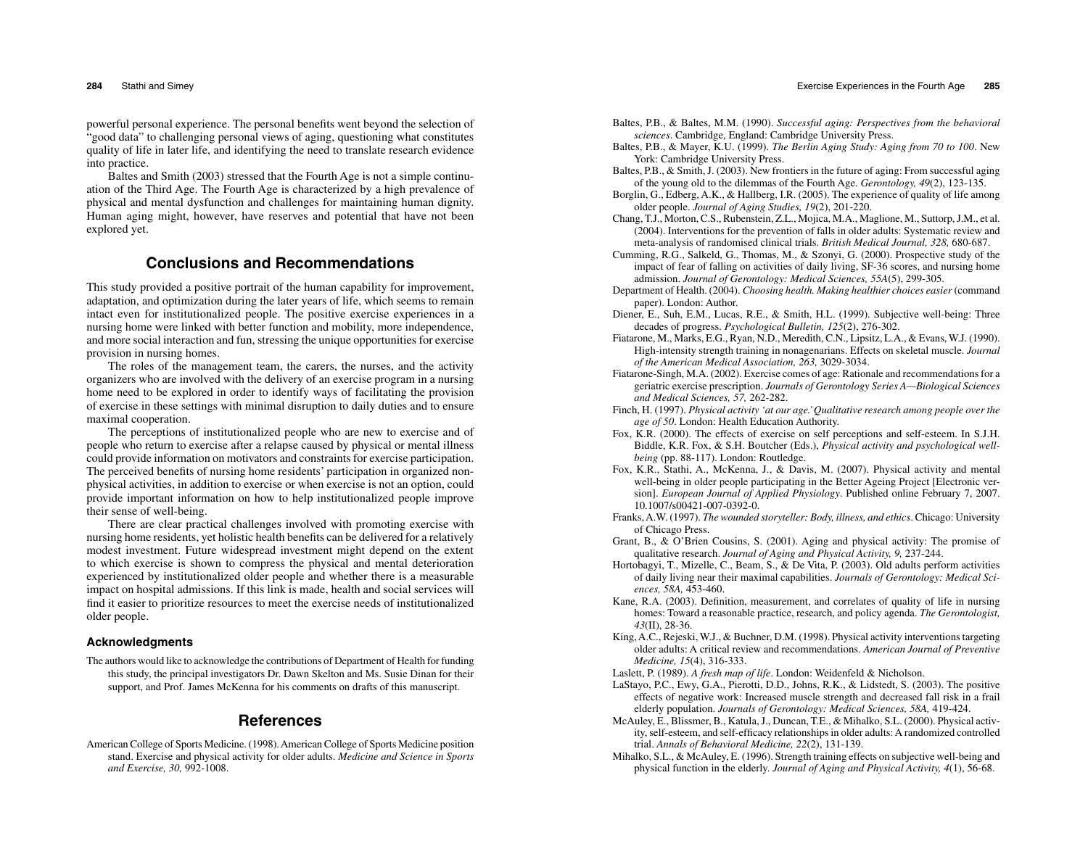powerful personal experience. The personal benefits went beyond the selection of "good data" to challenging personal views of aging, questioning what constitutes quality of life in later life, and identifying the need to translate research evidence into practice.

 Baltes and Smith (2003) stressed that the Fourth Age is not a simple continuation of the Third Age. The Fourth Age is characterized by a high prevalence of physical and mental dysfunction and challenges for maintaining human dignity. Human aging might, however, have reserves and potential that have not been explored yet.

# **Conclusions and Recommendations**

This study provided a positive portrait of the human capability for improvement, adaptation, and optimization during the later years of life, which seems to remain intact even for institutionalized people. The positive exercise experiences in a nursing home were linked with better function and mobility, more independence, and more social interaction and fun, stressing the unique opportunities for exercise provision in nursing homes.

The roles of the management team, the carers, the nurses, and the activity organizers who are involved with the delivery of an exercise program in a nursing home need to be explored in order to identify ways of facilitating the provision of exercise in these settings with minimal disruption to daily duties and to ensure maximal cooperation.

 The perceptions of institutionalized people who are new to exercise and of people who return to exercise after a relapse caused by physical or mental illness could provide information on motivators and constraints for exercise participation. The perceived benefits of nursing home residents' participation in organized nonphysical activities, in addition to exercise or when exercise is not an option, could provide important information on how to help institutionalized people improve their sense of well-being.

 There are clear practical challenges involved with promoting exercise with nursing home residents, yet holistic health benefits can be delivered for a relatively modest investment. Future widespread investment might depend on the extent to which exercise is shown to compress the physical and mental deterioration experienced by institutionalized older people and whether there is a measurable impact on hospital admissions. If this link is made, health and social services will find it easier to prioritize resources to meet the exercise needs of institutionalized older people.

#### **Acknowledgments**

The authors would like to acknowledge the contributions of Department of Health for funding this study, the principal investigators Dr. Dawn Skelton and Ms. Susie Dinan for their support, and Prof. James McKenna for his comments on drafts of this manuscript.

# **References**

American College of Sports Medicine. (1998). American College of Sports Medicine position stand. Exercise and physical activity for older adults. *Medicine and Science in Sports and Exercise, 30,* 992-1008.

- Baltes, P.B., & Baltes, M.M. (1990). *Successful aging: Perspectives from the behavioral sciences*. Cambridge, England: Cambridge University Press.
- Baltes, P.B., & Mayer, K.U. (1999). *The Berlin Aging Study: Aging from 70 to 100*. New York: Cambridge University Press.
- Baltes, P.B., & Smith, J. (2003). New frontiers in the future of aging: From successful aging of the young old to the dilemmas of the Fourth Age. *Gerontology, 49*(2), 123-135.
- Borglin, G., Edberg, A.K., & Hallberg, I.R. (2005). The experience of quality of life among older people. *Journal of Aging Studies, 19*(2), 201-220.
- Chang, T.J., Morton, C.S., Rubenstein, Z.L., Mojica, M.A., Maglione, M., Suttorp, J.M., et al. (2004). Interventions for the prevention of falls in older adults: Systematic review and meta-analysis of randomised clinical trials. *British Medical Journal, 328,* 680-687.
- Cumming, R.G., Salkeld, G., Thomas, M., & Szonyi, G. (2000). Prospective study of the impact of fear of falling on activities of daily living, SF-36 scores, and nursing home admission. *Journal of Gerontology: Medical Sciences, 55A*(5), 299-305.
- Department of Health. (2004). *Choosing health. Making healthier choices easier* (command paper). London: Author.
- Diener, E., Suh, E.M., Lucas, R.E., & Smith, H.L. (1999). Subjective well-being: Three decades of progress. *Psychological Bulletin, 125*(2), 276-302.
- Fiatarone, M., Marks, E.G., Ryan, N.D., Meredith, C.N., Lipsitz, L.A., & Evans, W.J. (1990). High-intensity strength training in nonagenarians. Effects on skeletal muscle. *Journal of the American Medical Association, 263,* 3029-3034.
- Fiatarone-Singh, M.A. (2002). Exercise comes of age: Rationale and recommendations for a geriatric exercise prescription. *Journals of Gerontology Series A—Biological Sciences and Medical Sciences, 57,* 262-282.
- Finch, H. (1997). *Physical activity 'at our age.' Qualitative research among people over the age of 50*. London: Health Education Authority.
- Fox, K.R. (2000). The effects of exercise on self perceptions and self-esteem. In S.J.H. Biddle, K.R. Fox, & S.H. Boutcher (Eds.), *Physical activity and psychological wellbeing* (pp. 88-117). London: Routledge.
- Fox, K.R., Stathi, A., McKenna, J., & Davis, M. (2007). Physical activity and mental well-being in older people participating in the Better Ageing Project [Electronic version]. *European Journal of Applied Physiology*. Published online February 7, 2007. 10.1007/s00421-007-0392-0.
- Franks, A.W. (1997). *The wounded storyteller: Body, illness, and ethics*. Chicago: University of Chicago Press.
- Grant, B., & O'Brien Cousins, S. (2001). Aging and physical activity: The promise of qualitative research. *Journal of Aging and Physical Activity, 9,* 237-244.
- Hortobagyi, T., Mizelle, C., Beam, S., & De Vita, P. (2003). Old adults perform activities of daily living near their maximal capabilities. *Journals of Gerontology: Medical Sciences, 58A,* 453-460.
- Kane, R.A. (2003). Definition, measurement, and correlates of quality of life in nursing homes: Toward a reasonable practice, research, and policy agenda. *The Gerontologist, 43*(II), 28-36.
- King, A.C., Rejeski, W.J., & Buchner, D.M. (1998). Physical activity interventions targeting older adults: A critical review and recommendations. *American Journal of Preventive Medicine, 15*(4), 316-333.
- Laslett, P. (1989). *A fresh map of life*. London: Weidenfeld & Nicholson.
- LaStayo, P.C., Ewy, G.A., Pierotti, D.D., Johns, R.K., & Lidstedt, S. (2003). The positive effects of negative work: Increased muscle strength and decreased fall risk in a frail elderly population. *Journals of Gerontology: Medical Sciences, 58A,* 419-424.
- McAuley, E., Blissmer, B., Katula, J., Duncan, T.E., & Mihalko, S.L. (2000). Physical activity, self-esteem, and self-efficacy relationships in older adults: A randomized controlled trial. *Annals of Behavioral Medicine, 22*(2), 131-139.
- Mihalko, S.L., & McAuley, E. (1996). Strength training effects on subjective well-being and physical function in the elderly. *Journal of Aging and Physical Activity, 4*(1), 56-68.